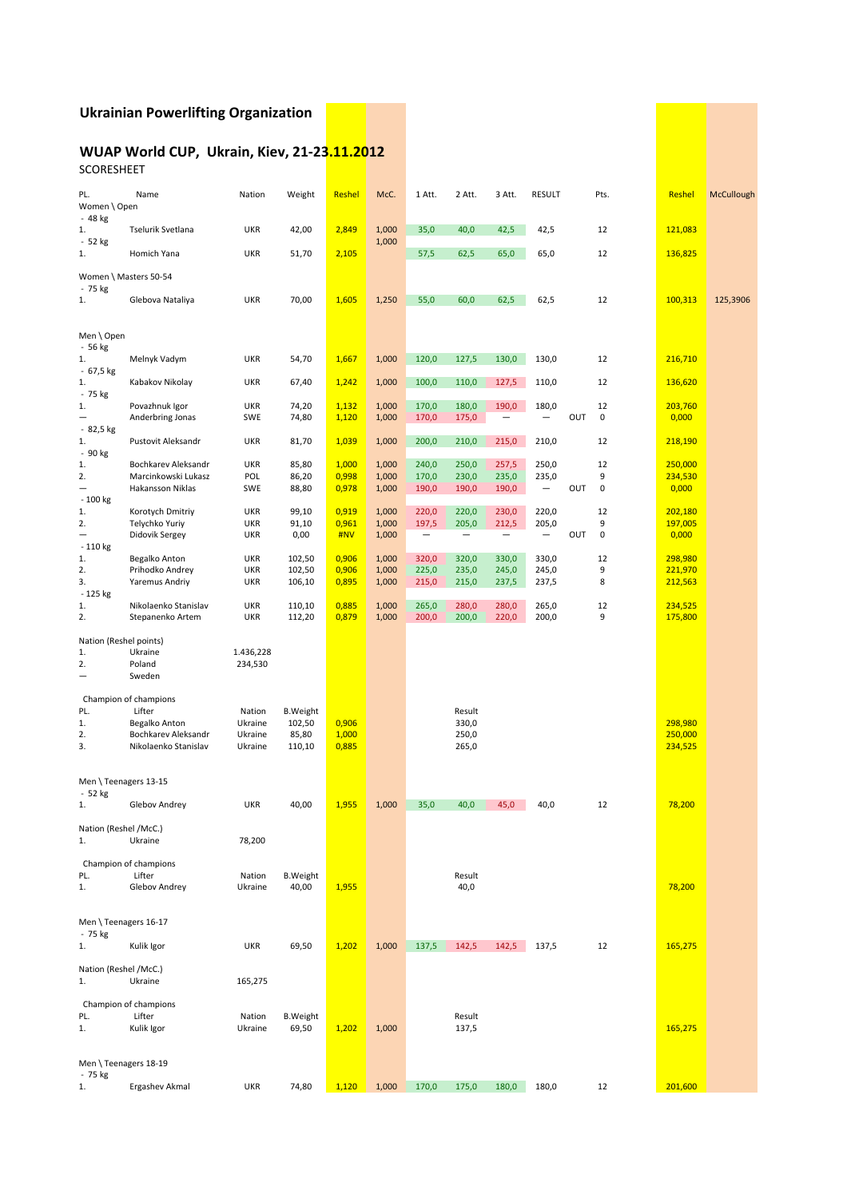### **Ukrainian'Powerlifting'Organization**

#### WUAP World CUP, Ukrain, Kiev, 21-23.11.2012 SCORESHEET

| PL.<br>Women \ Open                  | Name                                        | Nation            | Weight           | Reshel         | McC.           | 1 Att.                   | 2 Att.                   | 3 Att.            | RESULT            |     | Pts.      | Reshel             | McCullough |
|--------------------------------------|---------------------------------------------|-------------------|------------------|----------------|----------------|--------------------------|--------------------------|-------------------|-------------------|-----|-----------|--------------------|------------|
| - 48 kg<br>1.                        | Tselurik Svetlana                           | <b>UKR</b>        | 42,00            | 2,849          | 1,000          | 35,0                     | 40,0                     | 42,5              | 42,5              |     | 12        | 121,083            |            |
| - 52 kg<br>1.                        | Homich Yana                                 | <b>UKR</b>        | 51,70            | 2,105          | 1,000          | 57,5                     | 62,5                     | 65,0              | 65,0              |     | 12        | 136,825            |            |
|                                      | Women \ Masters 50-54                       |                   |                  |                |                |                          |                          |                   |                   |     |           |                    |            |
| - 75 kg<br>1.                        | Glebova Nataliya                            | <b>UKR</b>        | 70,00            | 1,605          | 1,250          | 55,0                     | 60,0                     | 62,5              | 62,5              |     | 12        | 100,313            | 125,3906   |
|                                      |                                             |                   |                  |                |                |                          |                          |                   |                   |     |           |                    |            |
| Men \ Open<br>- 56 kg                |                                             |                   |                  |                |                |                          |                          |                   |                   |     |           |                    |            |
| 1.<br>- 67,5 kg                      | Melnyk Vadym                                | <b>UKR</b>        | 54,70            | 1,667          | 1,000          | 120,0                    | 127,5                    | 130,0             | 130,0             |     | 12        | 216,710            |            |
| 1.                                   | Kabakov Nikolay                             | <b>UKR</b>        | 67,40            | 1,242          | 1,000          | 100,0                    | 110,0                    | 127,5             | 110,0             |     | 12        | 136,620            |            |
| - 75 kg<br>1.                        | Povazhnuk Igor                              | <b>UKR</b>        | 74,20            | 1,132          | 1,000          | 170,0                    | 180,0                    | 190,0             | 180,0             |     | 12        | 203,760            |            |
| - 82,5 kg                            | Anderbring Jonas                            | <b>SWE</b>        | 74,80            | 1,120          | 1,000          | 170,0                    | 175,0                    |                   |                   | OUT | $\pmb{0}$ | 0,000              |            |
| 1.                                   | Pustovit Aleksandr                          | <b>UKR</b>        | 81,70            | 1,039          | 1,000          | 200,0                    | 210,0                    | 215,0             | 210,0             |     | 12        | 218,190            |            |
| - 90 kg<br>1.                        | Bochkarev Aleksandr                         | <b>UKR</b>        | 85,80            | 1,000          | 1,000          | 240,0                    | 250,0                    | 257,5             | 250,0             |     | 12        | 250,000            |            |
| 2.                                   | Marcinkowski Lukasz                         | POL               | 86,20            | 0,998          | 1,000          | 170,0                    | 230,0                    | 235,0             | 235,0             |     | 9         | 234,530            |            |
| $\overline{\phantom{0}}$<br>- 100 kg | <b>Hakansson Niklas</b>                     | <b>SWE</b>        | 88,80            | 0,978          | 1,000          | 190,0                    | 190,0                    | 190,0             | $\qquad \qquad -$ | OUT | $\pmb{0}$ | 0,000              |            |
| 1.                                   | Korotych Dmitriy                            | <b>UKR</b>        | 99,10            | 0,919          | 1,000          | 220,0                    | 220,0                    | 230,0             | 220,0             |     | 12        | 202,180            |            |
| 2.                                   | Telychko Yuriy                              | <b>UKR</b>        | 91,10            | 0,961          | 1,000          | 197,5                    | 205,0                    | 212,5             | 205,0             |     | 9         | 197,005            |            |
| $\overline{\phantom{0}}$             | Didovik Sergey                              | UKR               | 0,00             | #NV            | 1,000          | $\overline{\phantom{m}}$ | $\overline{\phantom{m}}$ | $\qquad \qquad -$ | -                 | OUT | $\pmb{0}$ | 0,000              |            |
| - 110 kg<br>1.                       | Begalko Anton                               | UKR               | 102,50           | 0,906          | 1,000          | 320,0                    | 320,0                    | 330,0             | 330,0             |     | 12        | 298,980            |            |
| 2.                                   | Prihodko Andrey                             | <b>UKR</b>        | 102,50           | 0,906          | 1,000          | 225,0                    | 235,0                    | 245,0             | 245,0             |     | 9         | 221,970            |            |
| 3.                                   | Yaremus Andriy                              | UKR               | 106,10           | 0,895          | 1,000          | 215,0                    | 215,0                    | 237,5             | 237,5             |     | 8         | 212,563            |            |
| - 125 kg                             |                                             |                   |                  |                |                |                          |                          |                   |                   |     |           |                    |            |
| 1.<br>2.                             | Nikolaenko Stanislav<br>Stepanenko Artem    | UKR<br><b>UKR</b> | 110,10<br>112,20 | 0,885<br>0,879 | 1,000<br>1,000 | 265,0<br>200,0           | 280,0<br>200,0           | 280,0<br>220,0    | 265,0<br>200,0    |     | 12<br>9   | 234,525<br>175,800 |            |
|                                      | Nation (Reshel points)                      |                   |                  |                |                |                          |                          |                   |                   |     |           |                    |            |
| 1.                                   | Ukraine                                     | 1.436,228         |                  |                |                |                          |                          |                   |                   |     |           |                    |            |
| 2.<br>$\overline{\phantom{0}}$       | Poland<br>Sweden                            | 234,530           |                  |                |                |                          |                          |                   |                   |     |           |                    |            |
|                                      | Champion of champions                       |                   |                  |                |                |                          |                          |                   |                   |     |           |                    |            |
| PL.                                  | Lifter                                      | Nation            | <b>B.Weight</b>  |                |                |                          | Result                   |                   |                   |     |           |                    |            |
| 1.                                   | Begalko Anton                               | Ukraine           | 102,50           | 0,906          |                |                          | 330,0                    |                   |                   |     |           | 298,980            |            |
| 2.                                   | Bochkarev Aleksandr<br>Nikolaenko Stanislav | Ukraine           | 85,80            | 1,000          |                |                          | 250,0                    |                   |                   |     |           | 250,000            |            |
| 3.                                   |                                             | Ukraine           | 110,10           | 0,885          |                |                          | 265,0                    |                   |                   |     |           | 234,525            |            |
|                                      | Men \Teenagers 13-15                        |                   |                  |                |                |                          |                          |                   |                   |     |           |                    |            |
| - 52 kg<br>1.                        | Glebov Andrey                               | <b>UKR</b>        | 40,00            | 1,955          | 1,000          | 35,0                     | 40,0                     | 45,0              | 40,0              |     | 12        | 78,200             |            |
|                                      |                                             |                   |                  |                |                |                          |                          |                   |                   |     |           |                    |            |
|                                      | Nation (Reshel /McC.)                       |                   |                  |                |                |                          |                          |                   |                   |     |           |                    |            |
| 1.                                   | Ukraine                                     | 78,200            |                  |                |                |                          |                          |                   |                   |     |           |                    |            |
|                                      | Champion of champions                       |                   |                  |                |                |                          |                          |                   |                   |     |           |                    |            |
| PL.                                  | Lifter                                      | Nation            | <b>B.Weight</b>  |                |                |                          | Result                   |                   |                   |     |           |                    |            |
| 1.                                   | Glebov Andrey                               | Ukraine           | 40,00            | 1,955          |                |                          | 40,0                     |                   |                   |     |           | 78,200             |            |
|                                      | Men \Teenagers 16-17                        |                   |                  |                |                |                          |                          |                   |                   |     |           |                    |            |
| - 75 kg                              |                                             |                   |                  |                |                |                          |                          |                   |                   |     |           |                    |            |
| 1.                                   | Kulik Igor                                  | <b>UKR</b>        | 69,50            | 1,202          | 1,000          | 137,5                    | 142,5                    | 142,5             | 137,5             |     | 12        | 165,275            |            |
| 1.                                   | Nation (Reshel /McC.)<br>Ukraine            | 165,275           |                  |                |                |                          |                          |                   |                   |     |           |                    |            |
|                                      | Champion of champions                       |                   |                  |                |                |                          |                          |                   |                   |     |           |                    |            |
| PL.                                  | Lifter                                      | Nation            | <b>B.Weight</b>  |                |                |                          | Result                   |                   |                   |     |           |                    |            |
| 1.                                   | Kulik Igor                                  | Ukraine           | 69,50            | 1,202          | 1,000          |                          | 137,5                    |                   |                   |     |           | 165,275            |            |
|                                      |                                             |                   |                  |                |                |                          |                          |                   |                   |     |           |                    |            |
|                                      | Men \ Teenagers 18-19                       |                   |                  |                |                |                          |                          |                   |                   |     |           |                    |            |
| - 75 kg                              |                                             |                   |                  |                |                |                          |                          |                   |                   |     |           |                    |            |
| 1.                                   | Ergashev Akmal                              | <b>UKR</b>        | 74,80            | 1,120          | 1,000          | 170,0                    | 175,0                    | 180,0             | 180,0             |     | 12        | 201,600            |            |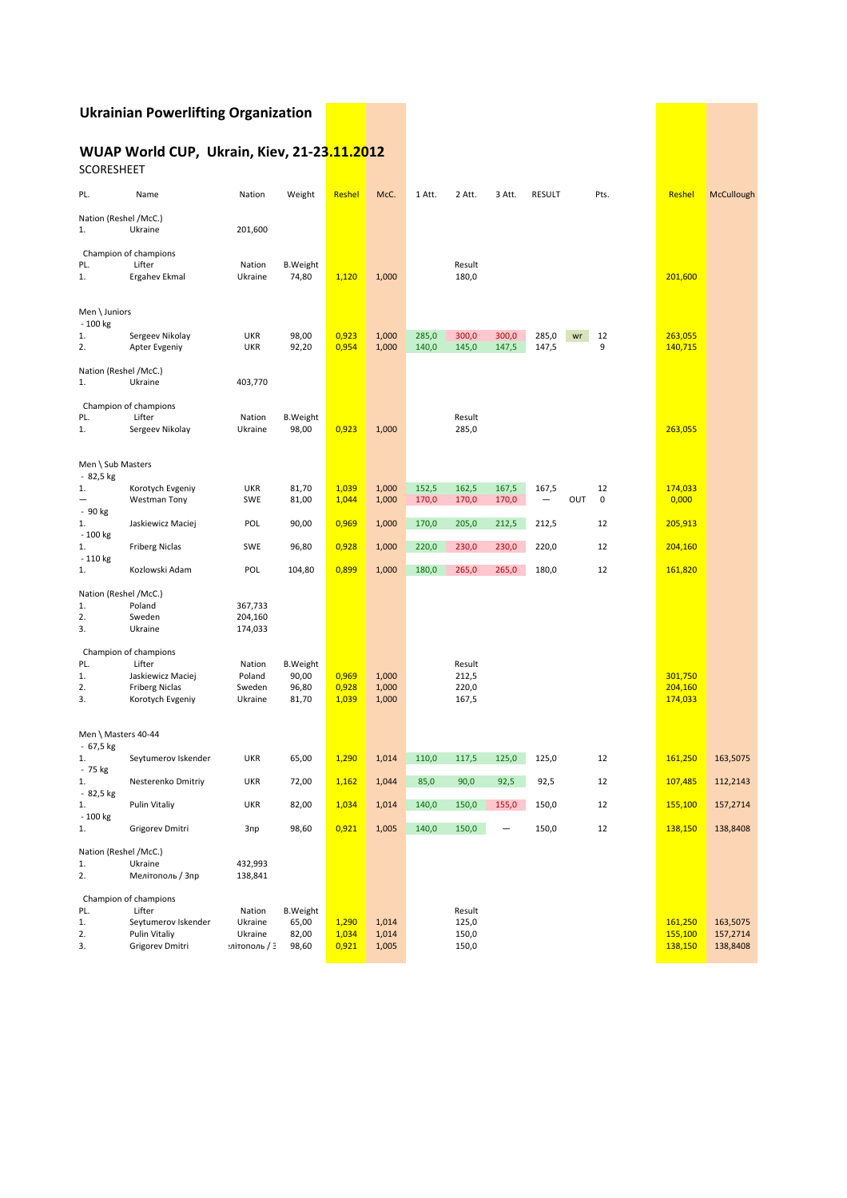### **Ukrainian'Powerlifting'Organization**

## **WUAP World CUP, Ukrain, Kiev, 21-23.11.2012**

SCORESHEET

| PL.                                     | Name                                                                                              | Nation                                       | Weight                                     | Reshel                  | McC.                    | 1 Att.         | 2 Att.                            | 3 Att.         | <b>RESULT</b>  |     | Pts.            | Reshel                        | McCullough                       |
|-----------------------------------------|---------------------------------------------------------------------------------------------------|----------------------------------------------|--------------------------------------------|-------------------------|-------------------------|----------------|-----------------------------------|----------------|----------------|-----|-----------------|-------------------------------|----------------------------------|
| Nation (Reshel /McC.)<br>1.             | Ukraine                                                                                           | 201,600                                      |                                            |                         |                         |                |                                   |                |                |     |                 |                               |                                  |
| PL.<br>1.                               | Champion of champions<br>Lifter<br>Ergahev Ekmal                                                  | Nation<br>Ukraine                            | <b>B.Weight</b><br>74,80                   | 1,120                   | 1,000                   |                | Result<br>180,0                   |                |                |     |                 | 201,600                       |                                  |
| Men \ Juniors<br>- 100 kg<br>1.<br>2.   | Sergeev Nikolay<br>Apter Evgeniy                                                                  | <b>UKR</b><br><b>UKR</b>                     | 98,00<br>92,20                             | 0,923<br>0,954          | 1,000<br>1,000          | 285,0<br>140,0 | 300,0<br>145,0                    | 300,0<br>147,5 | 285,0<br>147,5 | wr  | 12<br>9         | 263,055<br>140,715            |                                  |
| Nation (Reshel /McC.)<br>1.             | Ukraine                                                                                           | 403,770                                      |                                            |                         |                         |                |                                   |                |                |     |                 |                               |                                  |
| PL.<br>1.                               | Champion of champions<br>Lifter<br>Sergeev Nikolay                                                | Nation<br>Ukraine                            | <b>B.Weight</b><br>98,00                   | 0,923                   | 1,000                   |                | Result<br>285,0                   |                |                |     |                 | 263,055                       |                                  |
| Men \ Sub Masters<br>- 82,5 kg          |                                                                                                   |                                              |                                            |                         |                         |                |                                   |                |                |     |                 |                               |                                  |
| 1.<br>- 90 kg                           | Korotych Evgeniy<br>Westman Tony                                                                  | <b>UKR</b><br><b>SWE</b>                     | 81,70<br>81,00                             | 1,039<br>1,044          | 1,000<br>1,000          | 152,5<br>170,0 | 162,5<br>170,0                    | 167,5<br>170,0 | 167,5<br>-     | OUT | 12<br>$\pmb{0}$ | 174,033<br>0,000              |                                  |
| 1.<br>- 100 kg                          | Jaskiewicz Maciej                                                                                 | POL                                          | 90,00                                      | 0,969                   | 1,000                   | 170,0          | 205,0                             | 212,5          | 212,5          |     | 12              | 205,913                       |                                  |
| 1.<br>- 110 kg                          | <b>Friberg Niclas</b>                                                                             | <b>SWE</b>                                   | 96,80                                      | 0,928                   | 1,000                   | 220,0          | 230,0                             | 230,0          | 220,0          |     | 12              | 204,160                       |                                  |
| 1.                                      | Kozlowski Adam                                                                                    | POL                                          | 104,80                                     | 0,899                   | 1,000                   | 180,0          | 265,0                             | 265,0          | 180,0          |     | 12              | 161,820                       |                                  |
| Nation (Reshel /McC.)<br>1.<br>2.<br>3. | Poland<br>Sweden<br>Ukraine                                                                       | 367,733<br>204,160<br>174,033                |                                            |                         |                         |                |                                   |                |                |     |                 |                               |                                  |
| PL.<br>1.<br>2.<br>3.                   | Champion of champions<br>Lifter<br>Jaskiewicz Maciej<br><b>Friberg Niclas</b><br>Korotych Evgeniy | Nation<br>Poland<br>Sweden<br>Ukraine        | <b>B.Weight</b><br>90,00<br>96,80<br>81,70 | 0,969<br>0,928<br>1,039 | 1,000<br>1,000<br>1,000 |                | Result<br>212,5<br>220,0<br>167,5 |                |                |     |                 | 301,750<br>204,160<br>174,033 |                                  |
| Men \ Masters 40-44<br>- 67,5 kg        |                                                                                                   |                                              |                                            |                         |                         |                |                                   |                |                |     |                 |                               |                                  |
| 1.<br>- 75 kg                           | Seytumerov Iskender                                                                               | <b>UKR</b>                                   | 65,00                                      | 1,290                   | 1,014                   | 110,0          | 117,5                             | 125,0          | 125,0          |     | 12              | 161,250                       | 163,5075                         |
| 1.<br>- 82,5 kg                         | Nesterenko Dmitriy                                                                                | <b>UKR</b>                                   | 72,00                                      | 1,162                   | 1,044                   | 85,0           | 90,0                              | 92,5           | 92,5           |     | 12              | 107,485                       | 112,2143                         |
| 1.<br>$-100$ kg                         | Pulin Vitaliy                                                                                     | <b>UKR</b>                                   | 82,00                                      | 1,034                   | 1,014                   | 140,0          | 150,0                             | 155,0          | 150,0          |     | 12              | 155,100                       | 157,2714                         |
| 1.                                      | Grigorev Dmitri                                                                                   | Зпр                                          | 98,60                                      | 0,921                   | 1,005                   | 140,0          | 150,0                             |                | 150,0          |     | 12              | 138,150                       | 138,8408                         |
| Nation (Reshel /McC.)<br>1.<br>2.       | Ukraine<br>Мелітополь / Зпр                                                                       | 432,993<br>138,841                           |                                            |                         |                         |                |                                   |                |                |     |                 |                               |                                  |
| PL.<br>1.<br>2.<br>3.                   | Champion of champions<br>Lifter<br>Seytumerov Iskender<br>Pulin Vitaliy<br>Grigorev Dmitri        | Nation<br>Ukraine<br>Ukraine<br>иітополь / Э | <b>B.Weight</b><br>65,00<br>82,00<br>98,60 | 1,290<br>1,034<br>0,921 | 1,014<br>1,014<br>1,005 |                | Result<br>125,0<br>150,0<br>150,0 |                |                |     |                 | 161,250<br>155,100<br>138,150 | 163,5075<br>157,2714<br>138,8408 |